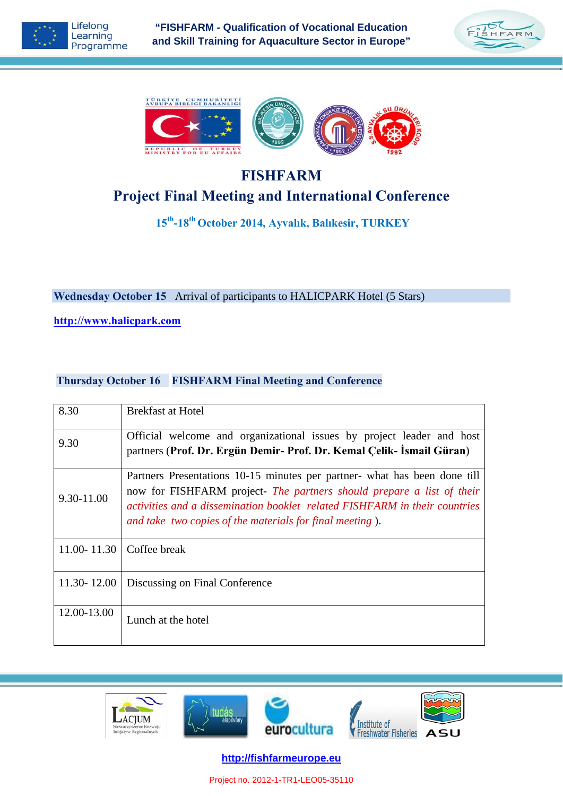





# **FISHFARM Project Final Meeting and International Conference**

**15th-18th October 2014, Ayvalık, Balıkesir, TURKEY** 

**Wednesday October 15** Arrival of participants to HALICPARK Hotel (5 Stars)

**http://www.halicpark.com**

#### **Thursday October 16 FISHFARM Final Meeting and Conference**

| 8.30          | <b>Brekfast at Hotel</b>                                                                                                                                                                                                                                                                     |
|---------------|----------------------------------------------------------------------------------------------------------------------------------------------------------------------------------------------------------------------------------------------------------------------------------------------|
| 9.30          | Official welcome and organizational issues by project leader and host<br>partners (Prof. Dr. Ergün Demir- Prof. Dr. Kemal Çelik- İsmail Güran)                                                                                                                                               |
| 9.30-11.00    | Partners Presentations 10-15 minutes per partner- what has been done till<br>now for FISHFARM project- The partners should prepare a list of their<br>activities and a dissemination booklet related FISHFARM in their countries<br>and take two copies of the materials for final meeting). |
| 11.00 - 11.30 | Coffee break                                                                                                                                                                                                                                                                                 |
| 11.30 - 12.00 | Discussing on Final Conference                                                                                                                                                                                                                                                               |
| 12.00-13.00   | Lunch at the hotel                                                                                                                                                                                                                                                                           |



**http://fishfarmeurope.eu**

Project no. 2012-1-TR1-LEO05-35110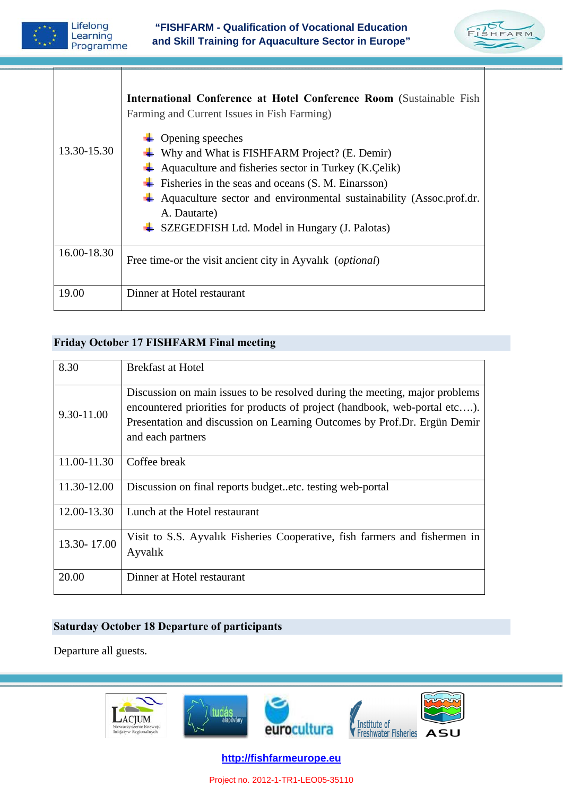| Lifelong<br>Learning<br>Programme | "FISHFARM - Qualification of Vocational Education<br>and Skill Training for Aquaculture Sector in Europe"                                                                                                                                                                                                                                                                                                                                           |  |
|-----------------------------------|-----------------------------------------------------------------------------------------------------------------------------------------------------------------------------------------------------------------------------------------------------------------------------------------------------------------------------------------------------------------------------------------------------------------------------------------------------|--|
| 13.30-15.30                       | International Conference at Hotel Conference Room (Sustainable Fish<br>Farming and Current Issues in Fish Farming)<br>Opening speeches<br>Why and What is FISHFARM Project? (E. Demir)<br>Aquaculture and fisheries sector in Turkey (K.Celik)<br>Fisheries in the seas and oceans (S. M. Einarsson)<br>Aquaculture sector and environmental sustainability (Assoc.prof.dr.<br>A. Dautarte)<br>$\div$ SZEGEDFISH Ltd. Model in Hungary (J. Palotas) |  |
| 16.00-18.30                       | Free time-or the visit ancient city in Ayvalık ( <i>optional</i> )                                                                                                                                                                                                                                                                                                                                                                                  |  |
| 19.00                             | Dinner at Hotel restaurant                                                                                                                                                                                                                                                                                                                                                                                                                          |  |

### **Friday October 17 FISHFARM Final meeting**

| 8.30        | <b>Brekfast at Hotel</b>                                                                                                                                                                                                                                   |
|-------------|------------------------------------------------------------------------------------------------------------------------------------------------------------------------------------------------------------------------------------------------------------|
| 9.30-11.00  | Discussion on main issues to be resolved during the meeting, major problems<br>encountered priorities for products of project (handbook, web-portal etc).<br>Presentation and discussion on Learning Outcomes by Prof.Dr. Ergün Demir<br>and each partners |
| 11.00-11.30 | Coffee break                                                                                                                                                                                                                                               |
| 11.30-12.00 | Discussion on final reports budgetetc. testing web-portal                                                                                                                                                                                                  |
| 12.00-13.30 | Lunch at the Hotel restaurant                                                                                                                                                                                                                              |
| 13.30-17.00 | Visit to S.S. Ayvalık Fisheries Cooperative, fish farmers and fishermen in<br>Ayvalik                                                                                                                                                                      |
| 20.00       | Dinner at Hotel restaurant                                                                                                                                                                                                                                 |

#### **Saturday October 18 Departure of participants**

Departure all guests.



**http://fishfarmeurope.eu**

Project no. 2012-1-TR1-LEO05-35110